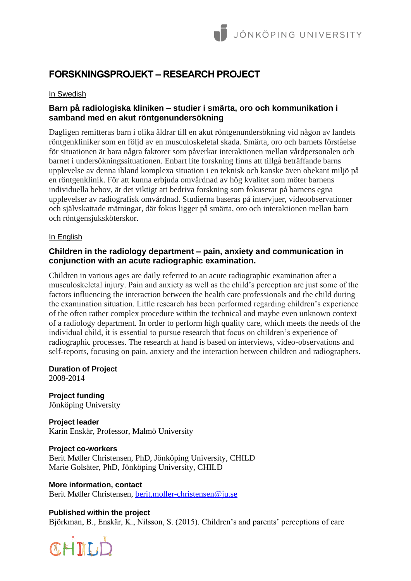# **FORSKNINGSPROJEKT – RESEARCH PROJECT**

#### In Swedish

## **Barn på radiologiska kliniken – studier i smärta, oro och kommunikation i samband med en akut röntgenundersökning**

Dagligen remitteras barn i olika åldrar till en akut röntgenundersökning vid någon av landets röntgenkliniker som en följd av en musculoskeletal skada. Smärta, oro och barnets förståelse för situationen är bara några faktorer som påverkar interaktionen mellan vårdpersonalen och barnet i undersökningssituationen. Enbart lite forskning finns att tillgå beträffande barns upplevelse av denna ibland komplexa situation i en teknisk och kanske även obekant miljö på en röntgenklinik. För att kunna erbjuda omvårdnad av hög kvalitet som möter barnens individuella behov, är det viktigt att bedriva forskning som fokuserar på barnens egna upplevelser av radiografisk omvårdnad. Studierna baseras på intervjuer, videoobservationer och självskattade mätningar, där fokus ligger på smärta, oro och interaktionen mellan barn och röntgensjuksköterskor.

### In English

## **Children in the radiology department – pain, anxiety and communication in conjunction with an acute radiographic examination.**

Children in various ages are daily referred to an acute radiographic examination after a musculoskeletal injury. Pain and anxiety as well as the child's perception are just some of the factors influencing the interaction between the health care professionals and the child during the examination situation. Little research has been performed regarding children's experience of the often rather complex procedure within the technical and maybe even unknown context of a radiology department. In order to perform high quality care, which meets the needs of the individual child, it is essential to pursue research that focus on children's experience of radiographic processes. The research at hand is based on interviews, video-observations and self-reports, focusing on pain, anxiety and the interaction between children and radiographers.

**Duration of Project** 2008-2014

**Project funding** Jönköping University

**Project leader** Karin Enskär, Professor, Malmö University

**Project co-workers** Berit Møller Christensen, PhD, Jönköping University, CHILD Marie Golsäter, PhD, Jönköping University, CHILD

**More information, contact** Berit Møller Christensen, [berit.moller-christensen@ju.se](mailto:berit.moller-christensen@ju.se)

**Published within the project** Björkman, B., Enskär, K., Nilsson, S. (2015). Children's and parents' perceptions of care